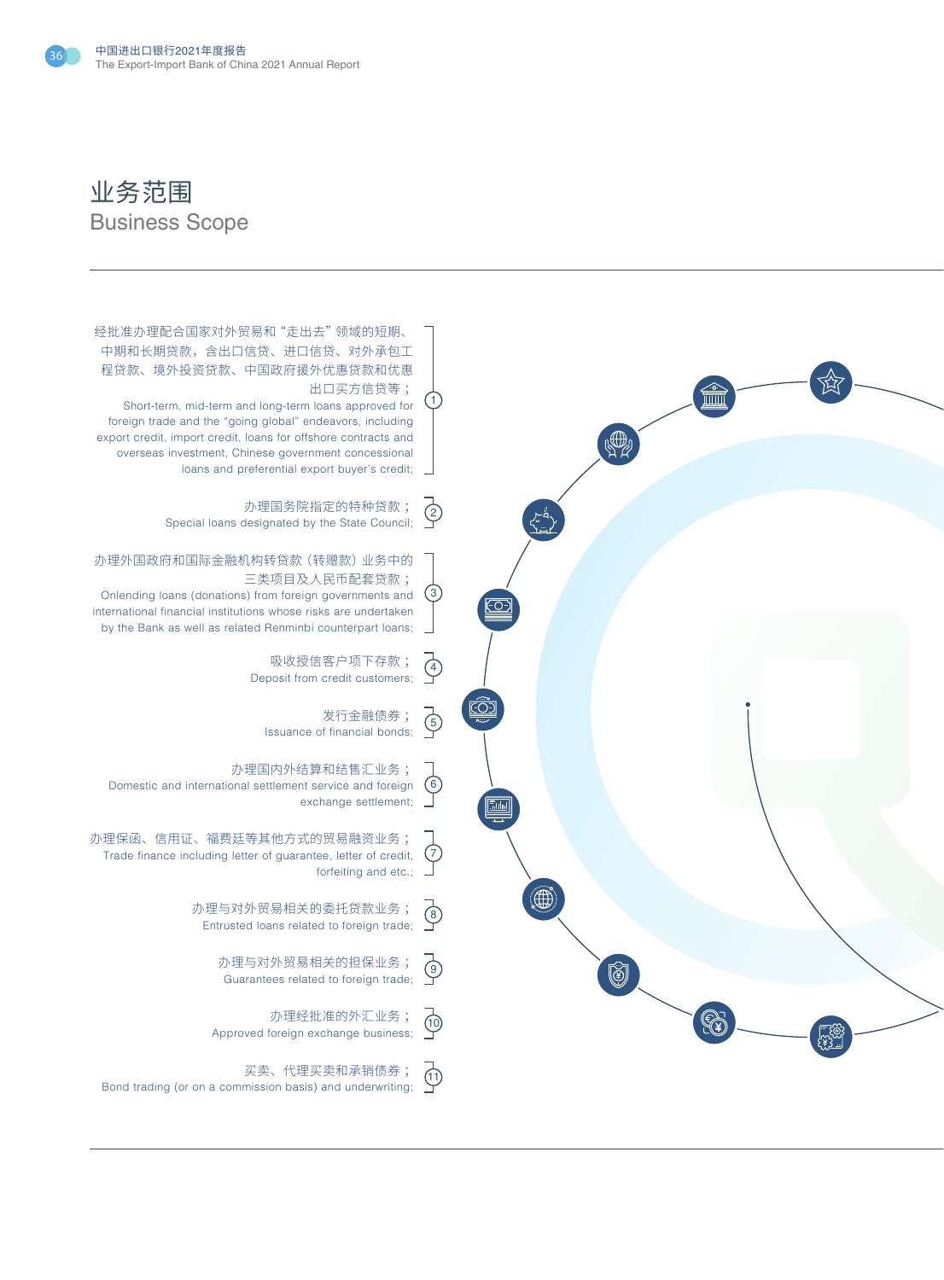

## 业务范围 Business Scope